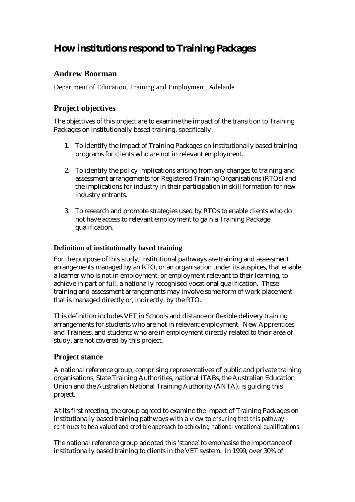# **How institutions respond to Training Packages**

## **Andrew Boorman**

Department of Education, Training and Employment, Adelaide

## **Project objectives**

The objectives of this project are to examine the impact of the transition to Training Packages on institutionally based training, specifically:

- 1. To identify the impact of Training Packages on institutionally based training programs for clients who are not in relevant employment.
- 2. To identify the policy implications arising from any changes to training and assessment arrangements for Registered Training Organisations (RTOs) and the implications for industry in their participation in skill formation for new industry entrants.
- 3. To research and promote strategies used by RTOs to enable clients who do not have access to relevant employment to gain a Training Package qualification.

#### **Definition of institutionally based training**

For the purpose of this study, institutional pathways are training and assessment arrangements managed by an RTO, or an organisation under its auspices, that enable a learner who is not in employment, or employment relevant to their learning, to achieve in part or full, a nationally recognised vocational qualification. These training and assessment arrangements may involve some form of work placement that is managed directly or, indirectly, by the RTO.

This definition includes VET in Schools and distance or flexible delivery training arrangements for students who are not in relevant employment. New Apprentices and Trainees, and students who are in employment directly related to their area of study, are not covered by this project.

## **Project stance**

A national reference group, comprising representatives of public and private training organisations, State Training Authorities, national ITABs, the Australian Education Union and the Australian National Training Authority (ANTA), is guiding this project.

At its first meeting, the group agreed to examine the impact of Training Packages on institutionally based training pathways with a view to *ensuring that this pathway continues to be a valued and credible approach to achieving national vocational qualifications.* 

The national reference group adopted this 'stance' to emphasise the importance of institutionally based training to clients in the VET system. In 1999, over 30% of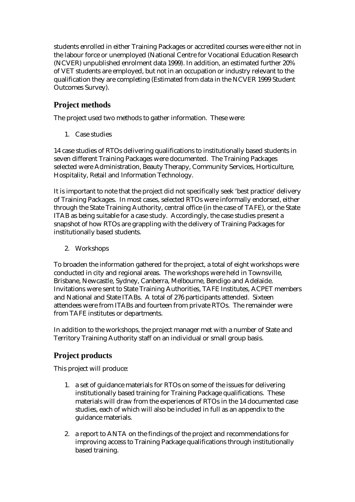students enrolled in either Training Packages or accredited courses were either not in the labour force or unemployed (National Centre for Vocational Education Research (NCVER) unpublished enrolment data 1999). In addition, an estimated further 20% of VET students are employed, but not in an occupation or industry relevant to the qualification they are completing (Estimated from data in the NCVER 1999 Student Outcomes Survey).

## **Project methods**

The project used two methods to gather information. These were:

1. Case studies

14 case studies of RTOs delivering qualifications to institutionally based students in seven different Training Packages were documented. The Training Packages selected were Administration, Beauty Therapy, Community Services, Horticulture, Hospitality, Retail and Information Technology.

It is important to note that the project did not specifically seek 'best practice' delivery of Training Packages. In most cases, selected RTOs were informally endorsed, either through the State Training Authority, central office (in the case of TAFE), or the State ITAB as being suitable for a case study. Accordingly, the case studies present a snapshot of how RTOs are grappling with the delivery of Training Packages for institutionally based students.

2. Workshops

To broaden the information gathered for the project, a total of eight workshops were conducted in city and regional areas. The workshops were held in Townsville, Brisbane, Newcastle, Sydney, Canberra, Melbourne, Bendigo and Adelaide. Invitations were sent to State Training Authorities, TAFE Institutes, ACPET members and National and State ITABs. A total of 276 participants attended. Sixteen attendees were from ITABs and fourteen from private RTOs. The remainder were from TAFE institutes or departments.

In addition to the workshops, the project manager met with a number of State and Territory Training Authority staff on an individual or small group basis.

## **Project products**

This project will produce:

- 1. a set of guidance materials for RTOs on some of the issues for delivering institutionally based training for Training Package qualifications. These materials will draw from the experiences of RTOs in the 14 documented case studies, each of which will also be included in full as an appendix to the guidance materials.
- 2. a report to ANTA on the findings of the project and recommendations for improving access to Training Package qualifications through institutionally based training.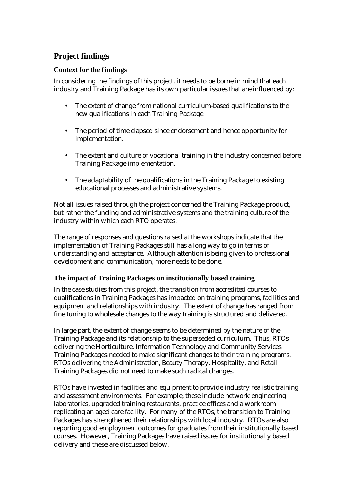## **Project findings**

#### **Context for the findings**

In considering the findings of this project, it needs to be borne in mind that each industry and Training Package has its own particular issues that are influenced by:

- The extent of change from national curriculum-based qualifications to the new qualifications in each Training Package.
- The period of time elapsed since endorsement and hence opportunity for implementation.
- The extent and culture of vocational training in the industry concerned before Training Package implementation.
- The adaptability of the qualifications in the Training Package to existing educational processes and administrative systems.

Not all issues raised through the project concerned the Training Package product, but rather the funding and administrative systems and the training culture of the industry within which each RTO operates.

The range of responses and questions raised at the workshops indicate that the implementation of Training Packages still has a long way to go in terms of understanding and acceptance. Although attention is being given to professional development and communication, more needs to be done.

#### **The impact of Training Packages on institutionally based training**

In the case studies from this project, the transition from accredited courses to qualifications in Training Packages has impacted on training programs, facilities and equipment and relationships with industry. The extent of change has ranged from fine tuning to wholesale changes to the way training is structured and delivered.

In large part, the extent of change seems to be determined by the nature of the Training Package and its relationship to the superseded curriculum. Thus, RTOs delivering the Horticulture, Information Technology and Community Services Training Packages needed to make significant changes to their training programs. RTOs delivering the Administration, Beauty Therapy, Hospitality, and Retail Training Packages did not need to make such radical changes.

RTOs have invested in facilities and equipment to provide industry realistic training and assessment environments. For example, these include network engineering laboratories, upgraded training restaurants, practice offices and a workroom replicating an aged care facility. For many of the RTOs, the transition to Training Packages has strengthened their relationships with local industry. RTOs are also reporting good employment outcomes for graduates from their institutionally based courses. However, Training Packages have raised issues for institutionally based delivery and these are discussed below.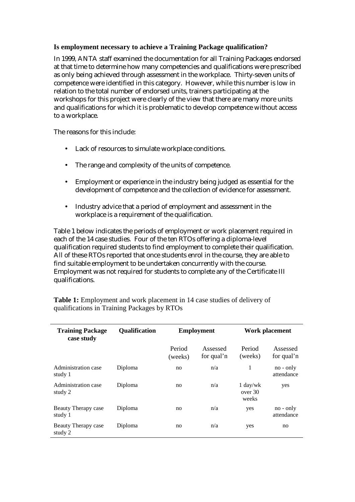#### **Is employment necessary to achieve a Training Package qualification?**

In 1999, ANTA staff examined the documentation for all Training Packages endorsed at that time to determine how many competencies and qualifications were prescribed as only being achieved through assessment in the workplace. Thirty-seven units of competence were identified in this category. However, while this number is low in relation to the total number of endorsed units, trainers participating at the workshops for this project were clearly of the view that there are many more units and qualifications for which it is problematic to develop competence without access to a workplace.

The reasons for this include:

- Lack of resources to simulate workplace conditions.
- The range and complexity of the units of competence.
- Employment or experience in the industry being judged as essential for the development of competence and the collection of evidence for assessment.
- Industry advice that a period of employment and assessment in the workplace is a requirement of the qualification.

Table 1 below indicates the periods of employment or work placement required in each of the 14 case studies. Four of the ten RTOs offering a diploma-level qualification required students to find employment to complete their qualification. All of these RTOs reported that once students enrol in the course, they are able to find suitable employment to be undertaken concurrently with the course. Employment was not required for students to complete any of the Certificate III qualifications.

| <b>Training Package</b><br>case study | <b>Qualification</b> | <b>Employment</b> |                        | Work placement                         |                           |
|---------------------------------------|----------------------|-------------------|------------------------|----------------------------------------|---------------------------|
|                                       |                      | Period<br>(weeks) | Assessed<br>for qual'n | Period<br>(weeks)                      | Assessed<br>for qual'n    |
| Administration case<br>study 1        | Diploma              | no                | n/a                    | 1                                      | no - only<br>attendance   |
| Administration case<br>study 2        | Diploma              | no                | n/a                    | $1 \text{ day/wk}$<br>over 30<br>weeks | yes                       |
| Beauty Therapy case<br>study 1        | Diploma              | no                | n/a                    | yes                                    | $no - only$<br>attendance |
| Beauty Therapy case<br>study 2        | Diploma              | no                | n/a                    | yes                                    | no                        |

Table 1: Employment and work placement in 14 case studies of delivery of qualifications in Training Packages by RTOs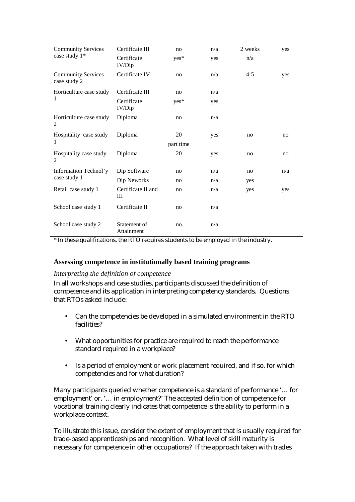| <b>Community Services</b><br>case study 1* | Certificate III            | no        | n/a | 2 weeks | yes |
|--------------------------------------------|----------------------------|-----------|-----|---------|-----|
|                                            | Certificate<br>IV/Dip      | yes*      | yes | n/a     |     |
| <b>Community Services</b><br>case study 2  | Certificate IV             | no        | n/a | $4 - 5$ | yes |
| Horticulture case study<br>1               | Certificate III            | no        | n/a |         |     |
|                                            | Certificate<br>IV/Dip      | $yes*$    | yes |         |     |
| Horticulture case study<br>2               | Diploma                    | no        | n/a |         |     |
| Hospitality case study<br>1                | Diploma                    | 20        | yes | no      | no  |
|                                            |                            | part time |     |         |     |
| Hospitality case study<br>2                | Diploma                    | 20        | yes | no      | no  |
| Information Technol'y<br>case study 1      | Dip Software               | no        | n/a | no      | n/a |
|                                            | Dip Neworks                | no        | n/a | yes     |     |
| Retail case study 1                        | Certificate II and<br>Ш    | no        | n/a | yes     | yes |
| School case study 1                        | Certificate II             | no        | n/a |         |     |
| School case study 2                        | Statement of<br>Attainment | no        | n/a |         |     |

\* In these qualifications, the RTO requires students to be employed in the industry.

#### **Assessing competence in institutionally based training programs**

#### *Interpreting the definition of competence*

In all workshops and case studies, participants discussed the definition of competence and its application in interpreting competency standards. Questions that RTOs asked include:

- Can the competencies be developed in a simulated environment in the RTO facilities?
- What opportunities for practice are required to reach the performance standard required in a workplace?
- Is a period of employment or work placement required, and if so, for which competencies and for what duration?

Many participants queried whether competence is a standard of performance '… for employment' or, '... in employment?' The accepted definition of competence for vocational training clearly indicates that competence is the ability to perform in a workplace context.

To illustrate this issue, consider the extent of employment that is usually required for trade-based apprenticeships and recognition. What level of skill maturity is necessary for competence in other occupations? If the approach taken with trades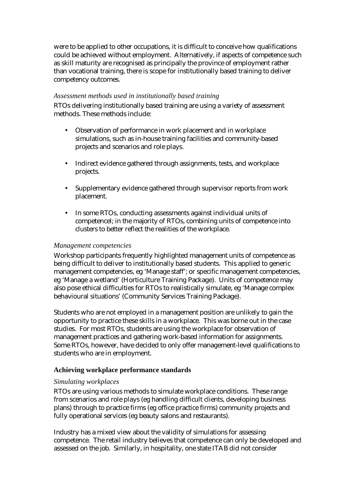were to be applied to other occupations, it is difficult to conceive how qualifications could be achieved without employment. Alternatively, if aspects of competence such as skill maturity are recognised as principally the province of employment rather than vocational training, there is scope for institutionally based training to deliver competency outcomes.

#### *Assessment methods used in institutionally based training*

RTOs delivering institutionally based training are using a variety of assessment methods. These methods include:

- Observation of performance in work placement and in workplace simulations, such as in-house training facilities and community-based projects and scenarios and role plays.
- Indirect evidence gathered through assignments, tests, and workplace projects.
- Supplementary evidence gathered through supervisor reports from work placement.
- In some RTOs, conducting assessments against individual units of competencel; in the majority of RTOs, combining units of competence into clusters to better reflect the realities of the workplace.

#### *Management competencies*

Workshop participants frequently highlighted management units of competence as being difficult to deliver to institutionally based students. This applied to generic management competencies, eg 'Manage staff'; or specific management competencies, eg 'Manage a wetland' (Horticulture Training Package). Units of competence may also pose ethical difficulties for RTOs to realistically simulate, eg 'Manage complex behavioural situations' (Community Services Training Package).

Students who are not employed in a management position are unlikely to gain the opportunity to practice these skills in a workplace. This was borne out in the case studies. For most RTOs, students are using the workplace for observation of management practices and gathering work-based information for assignments. Some RTOs, however, have decided to only offer management-level qualifications to students who are in employment.

#### **Achieving workplace performance standards**

#### *Simulating workplaces*

RTOs are using various methods to simulate workplace conditions. These range from scenarios and role plays (eg handling difficult clients, developing business plans) through to practice firms (eg office practice firms) community projects and fully operational services (eg beauty salons and restaurants).

Industry has a mixed view about the validity of simulations for assessing competence. The retail industry believes that competence can only be developed and assessed on the job. Similarly, in hospitality, one state ITAB did not consider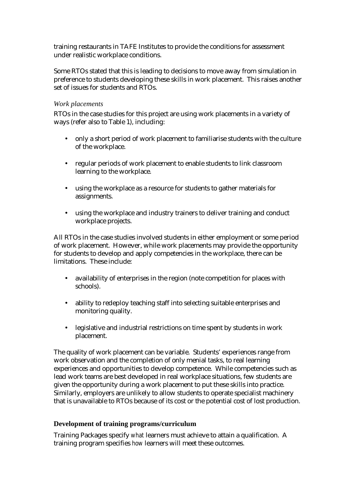training restaurants in TAFE Institutes to provide the conditions for assessment under realistic workplace conditions.

Some RTOs stated that this is leading to decisions to move away from simulation in preference to students developing these skills in work placement. This raises another set of issues for students and RTOs.

#### *Work placements*

RTOs in the case studies for this project are using work placements in a variety of ways (refer also to Table 1), including:

- only a short period of work placement to familiarise students with the culture of the workplace.
- regular periods of work placement to enable students to link classroom learning to the workplace.
- using the workplace as a resource for students to gather materials for assignments.
- using the workplace and industry trainers to deliver training and conduct workplace projects.

All RTOs in the case studies involved students in either employment or some period of work placement. However, while work placements may provide the opportunity for students to develop and apply competencies in the workplace, there can be limitations. These include:

- availability of enterprises in the region (note competition for places with schools).
- ability to redeploy teaching staff into selecting suitable enterprises and monitoring quality.
- legislative and industrial restrictions on time spent by students in work placement.

The quality of work placement can be variable. Students' experiences range from work observation and the completion of only menial tasks, to real learning experiences and opportunities to develop competence. While competencies such as lead work teams are best developed in real workplace situations, few students are given the opportunity during a work placement to put these skills into practice. Similarly, employers are unlikely to allow students to operate specialist machinery that is unavailable to RTOs because of its cost or the potential cost of lost production.

#### **Development of training programs/curriculum**

Training Packages specify *what* learners must achieve to attain a qualification. A training program specifies *how* learners will meet these outcomes.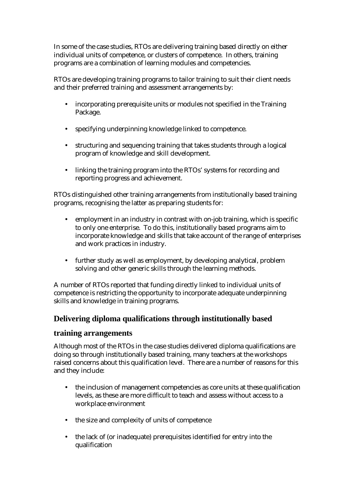In some of the case studies, RTOs are delivering training based directly on either individual units of competence, or clusters of competence. In others, training programs are a combination of learning modules and competencies.

RTOs are developing training programs to tailor training to suit their client needs and their preferred training and assessment arrangements by:

- incorporating prerequisite units or modules not specified in the Training Package.
- specifying underpinning knowledge linked to competence.
- structuring and sequencing training that takes students through a logical program of knowledge and skill development.
- linking the training program into the RTOs' systems for recording and reporting progress and achievement.

RTOs distinguished other training arrangements from institutionally based training programs, recognising the latter as preparing students for:

- employment in an industry in contrast with on-job training, which is specific to only one enterprise. To do this, institutionally based programs aim to incorporate knowledge and skills that take account of the range of enterprises and work practices in industry.
- further study as well as employment, by developing analytical, problem solving and other generic skills through the learning methods.

A number of RTOs reported that funding directly linked to individual units of competence is restricting the opportunity to incorporate adequate underpinning skills and knowledge in training programs.

## **Delivering diploma qualifications through institutionally based**

## **training arrangements**

Although most of the RTOs in the case studies delivered diploma qualifications are doing so through institutionally based training, many teachers at the workshops raised concerns about this qualification level. There are a number of reasons for this and they include:

- the inclusion of management competencies as core units at these qualification levels, as these are more difficult to teach and assess without access to a workplace environment
- the size and complexity of units of competence
- the lack of (or inadequate) prerequisites identified for entry into the qualification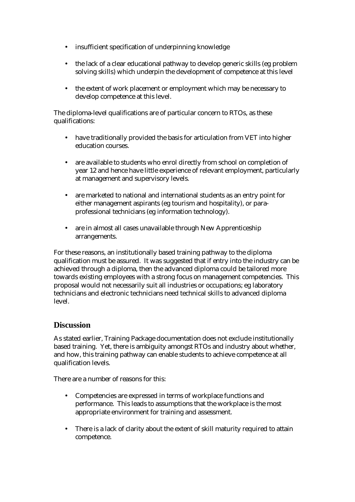- insufficient specification of underpinning knowledge
- the lack of a clear educational pathway to develop generic skills (eg problem solving skills) which underpin the development of competence at this level
- the extent of work placement or employment which may be necessary to develop competence at this level.

The diploma-level qualifications are of particular concern to RTOs, as these qualifications:

- have traditionally provided the basis for articulation from VET into higher education courses.
- are available to students who enrol directly from school on completion of year 12 and hence have little experience of relevant employment, particularly at management and supervisory levels.
- are marketed to national and international students as an entry point for either management aspirants (eg tourism and hospitality), or paraprofessional technicians (eg information technology).
- are in almost all cases unavailable through New Apprenticeship arrangements.

For these reasons, an institutionally based training pathway to the diploma qualification must be assured. It was suggested that if entry into the industry can be achieved through a diploma, then the advanced diploma could be tailored more towards existing employees with a strong focus on management competencies. This proposal would not necessarily suit all industries or occupations; eg laboratory technicians and electronic technicians need technical skills to advanced diploma level.

## **Discussion**

As stated earlier, Training Package documentation does not exclude institutionally based training. Yet, there is ambiguity amongst RTOs and industry about whether, and how, this training pathway can enable students to achieve competence at all qualification levels.

There are a number of reasons for this:

- Competencies are expressed in terms of workplace functions and performance. This leads to assumptions that the workplace is the most appropriate environment for training and assessment.
- There is a lack of clarity about the extent of skill maturity required to attain competence.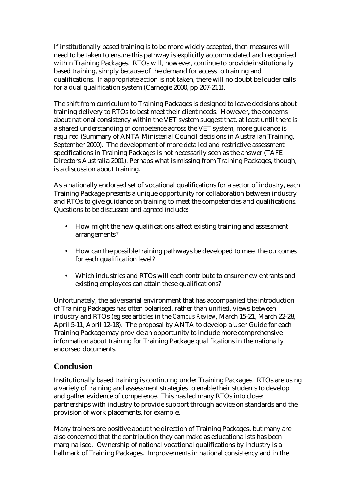If institutionally based training is to be more widely accepted, then measures will need to be taken to ensure this pathway is explicitly accommodated and recognised within Training Packages. RTOs will, however, continue to provide institutionally based training, simply because of the demand for access to training and qualifications. If appropriate action is not taken, there will no doubt be louder calls for a dual qualification system (Carnegie 2000, pp 207-211).

The shift from curriculum to Training Packages is designed to leave decisions about training delivery to RTOs to best meet their client needs. However, the concerns about national consistency within the VET system suggest that, at least until there is a shared understanding of competence across the VET system, more guidance is required (Summary of ANTA Ministerial Council decisions in Australian Training, September 2000). The development of more detailed and restrictive assessment specifications in Training Packages is not necessarily seen as the answer (TAFE Directors Australia 2001). Perhaps what is missing from Training Packages, though, is a discussion about training.

As a nationally endorsed set of vocational qualifications for a sector of industry, each Training Package presents a unique opportunity for collaboration between industry and RTOs to give guidance on training to meet the competencies and qualifications. Questions to be discussed and agreed include:

- How might the new qualifications affect existing training and assessment arrangements?
- How can the possible training pathways be developed to meet the outcomes for each qualification level?
- Which industries and RTOs will each contribute to ensure new entrants and existing employees can attain these qualifications?

Unfortunately, the adversarial environment that has accompanied the introduction of Training Packages has often polarised, rather than unified, views between industry and RTOs (eg see articles in the *Campus Review*, March 15-21, March 22-28, April 5-11, April 12-18). The proposal by ANTA to develop a User Guide for each Training Package may provide an opportunity to include more comprehensive information about training for Training Package qualifications in the nationally endorsed documents.

## **Conclusion**

Institutionally based training is continuing under Training Packages. RTOs are using a variety of training and assessment strategies to enable their students to develop and gather evidence of competence. This has led many RTOs into closer partnerships with industry to provide support through advice on standards and the provision of work placements, for example.

Many trainers are positive about the direction of Training Packages, but many are also concerned that the contribution they can make as educationalists has been marginalised. Ownership of national vocational qualifications by industry is a hallmark of Training Packages. Improvements in national consistency and in the